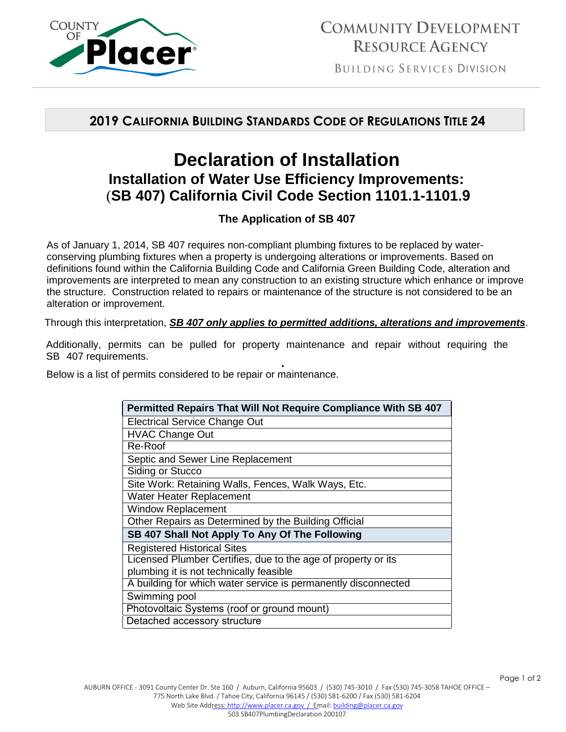

**BUILDING SERVICES DIVISION** 

## **2019 CALIFORNIA BUILDING STANDARDS CODE OF REGULATIONS TITLE 24**

## **Declaration of Installation Installation of Water Use Efficiency Improvements:**  (**SB 407) California Civil Code Section 1101.1-1101.9**

## **The Application of SB 407**

As of January 1, 2014, SB 407 requires non-compliant plumbing fixtures to be replaced by waterconserving plumbing fixtures when a property is undergoing alterations or improvements. Based on definitions found within the California Building Code and California Green Building Code, alteration and improvements are interpreted to mean any construction to an existing structure which enhance or improve the structure. Construction related to repairs or maintenance of the structure is not considered to be an alteration or improvement.

Through this interpretation, *SB 407 only applies to permitted additions, alterations and improvements*.

Additionally, permits can be pulled for property maintenance and repair without requiring the SB 407 requirements.

Below is a list of permits considered to be repair or maintenance.

| Permitted Repairs That Will Not Require Compliance With SB 407 |  |  |
|----------------------------------------------------------------|--|--|
| <b>Electrical Service Change Out</b>                           |  |  |
| <b>HVAC Change Out</b>                                         |  |  |
| Re-Roof                                                        |  |  |
| Septic and Sewer Line Replacement                              |  |  |
| Siding or Stucco                                               |  |  |
| Site Work: Retaining Walls, Fences, Walk Ways, Etc.            |  |  |
| Water Heater Replacement                                       |  |  |
| <b>Window Replacement</b>                                      |  |  |
| Other Repairs as Determined by the Building Official           |  |  |
| SB 407 Shall Not Apply To Any Of The Following                 |  |  |
| <b>Registered Historical Sites</b>                             |  |  |
| Licensed Plumber Certifies, due to the age of property or its  |  |  |
| plumbing it is not technically feasible                        |  |  |
| A building for which water service is permanently disconnected |  |  |
| Swimming pool                                                  |  |  |
| Photovoltaic Systems (roof or ground mount)                    |  |  |
| Detached accessory structure                                   |  |  |